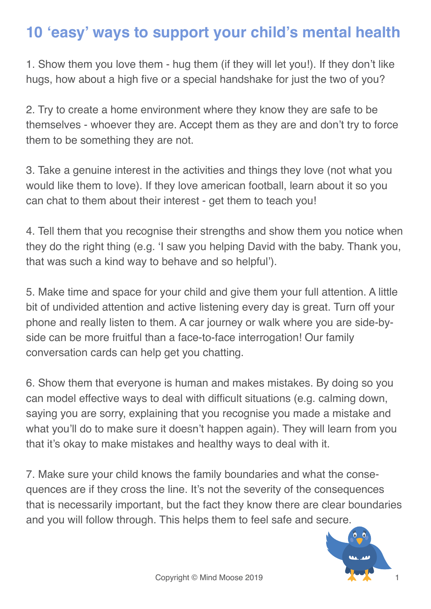## **10 'easy' ways to support your child's mental health**

1. Show them you love them - hug them (if they will let you!). If they don't like hugs, how about a high five or a special handshake for just the two of you?

2. Try to create a home environment where they know they are safe to be themselves - whoever they are. Accept them as they are and don't try to force them to be something they are not.

3. Take a genuine interest in the activities and things they love (not what you would like them to love). If they love american football, learn about it so you can chat to them about their interest - get them to teach you!

4. Tell them that you recognise their strengths and show them you notice when they do the right thing (e.g. 'I saw you helping David with the baby. Thank you, that was such a kind way to behave and so helpful').

5. Make time and space for your child and give them your full attention. A little bit of undivided attention and active listening every day is great. Turn off your phone and really listen to them. A car journey or walk where you are side-byside can be more fruitful than a face-to-face interrogation! Our family conversation cards can help get you chatting.

6. Show them that everyone is human and makes mistakes. By doing so you can model effective ways to deal with difficult situations (e.g. calming down, saying you are sorry, explaining that you recognise you made a mistake and what you'll do to make sure it doesn't happen again). They will learn from you that it's okay to make mistakes and healthy ways to deal with it.

7. Make sure your child knows the family boundaries and what the consequences are if they cross the line. It's not the severity of the consequences that is necessarily important, but the fact they know there are clear boundaries and you will follow through. This helps them to feel safe and secure.